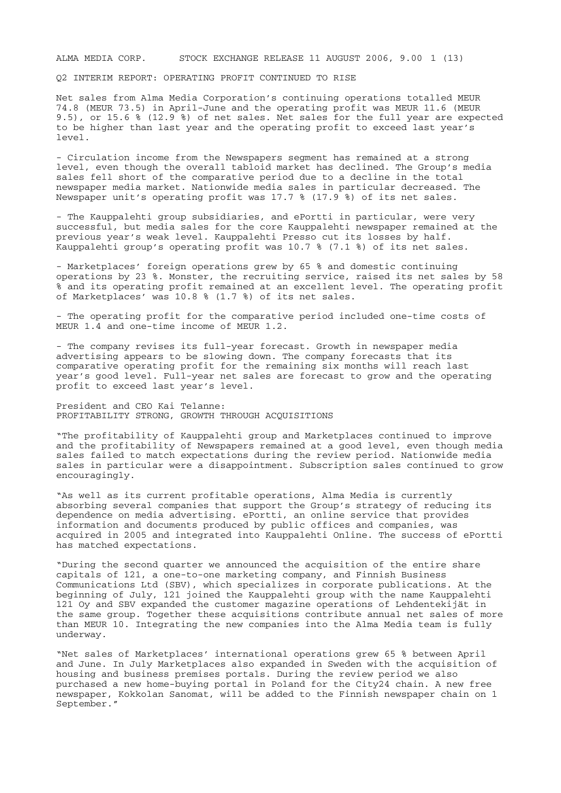ALMA MEDIA CORP. STOCK EXCHANGE RELEASE 11 AUGUST 2006, 9.00 1 (13)

Q2 INTERIM REPORT: OPERATING PROFIT CONTINUED TO RISE

Net sales from Alma Media Corporation's continuing operations totalled MEUR 74.8 (MEUR 73.5) in April-June and the operating profit was MEUR 11.6 (MEUR 9.5), or 15.6 % (12.9 %) of net sales. Net sales for the full year are expected to be higher than last year and the operating profit to exceed last year's level.

- Circulation income from the Newspapers segment has remained at a strong level, even though the overall tabloid market has declined. The Group's media sales fell short of the comparative period due to a decline in the total newspaper media market. Nationwide media sales in particular decreased. The Newspaper unit's operating profit was 17.7 % (17.9 %) of its net sales.

- The Kauppalehti group subsidiaries, and ePortti in particular, were very successful, but media sales for the core Kauppalehti newspaper remained at the previous year's weak level. Kauppalehti Presso cut its losses by half. Kauppalehti group's operating profit was 10.7 % (7.1 %) of its net sales.

- Marketplaces' foreign operations grew by 65 % and domestic continuing operations by 23 %. Monster, the recruiting service, raised its net sales by 58 % and its operating profit remained at an excellent level. The operating profit of Marketplaces' was 10.8 % (1.7 %) of its net sales.

- The operating profit for the comparative period included one-time costs of MEUR 1.4 and one-time income of MEUR 1.2.

- The company revises its full-year forecast. Growth in newspaper media advertising appears to be slowing down. The company forecasts that its comparative operating profit for the remaining six months will reach last year's good level. Full-year net sales are forecast to grow and the operating profit to exceed last year's level.

President and CEO Kai Telanne: PROFITABILITY STRONG, GROWTH THROUGH ACQUISITIONS

"The profitability of Kauppalehti group and Marketplaces continued to improve and the profitability of Newspapers remained at a good level, even though media sales failed to match expectations during the review period. Nationwide media sales in particular were a disappointment. Subscription sales continued to grow encouragingly.

"As well as its current profitable operations, Alma Media is currently absorbing several companies that support the Group's strategy of reducing its dependence on media advertising. ePortti, an online service that provides information and documents produced by public offices and companies, was acquired in 2005 and integrated into Kauppalehti Online. The success of ePortti has matched expectations.

"During the second quarter we announced the acquisition of the entire share capitals of 121, a one-to-one marketing company, and Finnish Business Communications Ltd (SBV), which specializes in corporate publications. At the beginning of July, 121 joined the Kauppalehti group with the name Kauppalehti 121 Oy and SBV expanded the customer magazine operations of Lehdentekijät in the same group. Together these acquisitions contribute annual net sales of more than MEUR 10. Integrating the new companies into the Alma Media team is fully underway.

"Net sales of Marketplaces' international operations grew 65 % between April and June. In July Marketplaces also expanded in Sweden with the acquisition of housing and business premises portals. During the review period we also purchased a new home-buying portal in Poland for the City24 chain. A new free newspaper, Kokkolan Sanomat, will be added to the Finnish newspaper chain on 1 September."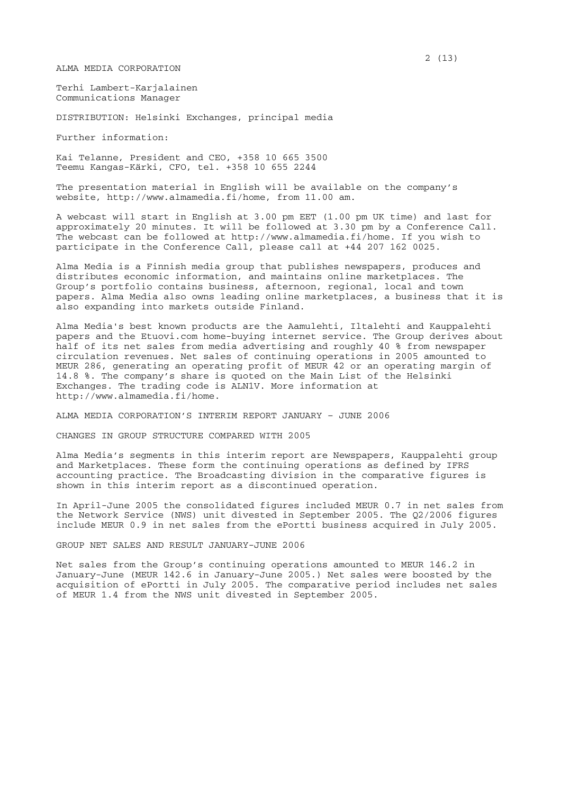ALMA MEDIA CORPORATION

Terhi Lambert-Karjalainen Communications Manager

DISTRIBUTION: Helsinki Exchanges, principal media

Further information:

Kai Telanne, President and CEO, +358 10 665 3500 Teemu Kangas-Kärki, CFO, tel. +358 10 655 2244

The presentation material in English will be available on the company's website, http://www.almamedia.fi/home, from 11.00 am.

A webcast will start in English at 3.00 pm EET (1.00 pm UK time) and last for approximately 20 minutes. It will be followed at 3.30 pm by a Conference Call. The webcast can be followed at http://www.almamedia.fi/home. If you wish to participate in the Conference Call, please call at +44 207 162 0025.

Alma Media is a Finnish media group that publishes newspapers, produces and distributes economic information, and maintains online marketplaces. The Group's portfolio contains business, afternoon, regional, local and town papers. Alma Media also owns leading online marketplaces, a business that it is also expanding into markets outside Finland.

Alma Media's best known products are the Aamulehti, Iltalehti and Kauppalehti papers and the Etuovi.com home-buying internet service. The Group derives about half of its net sales from media advertising and roughly 40 % from newspaper circulation revenues. Net sales of continuing operations in 2005 amounted to MEUR 286, generating an operating profit of MEUR 42 or an operating margin of 14.8 %. The company's share is quoted on the Main List of the Helsinki Exchanges. The trading code is ALN1V. More information at http://www.almamedia.fi/home.

ALMA MEDIA CORPORATION'S INTERIM REPORT JANUARY – JUNE 2006

CHANGES IN GROUP STRUCTURE COMPARED WITH 2005

Alma Media's segments in this interim report are Newspapers, Kauppalehti group and Marketplaces. These form the continuing operations as defined by IFRS accounting practice. The Broadcasting division in the comparative figures is shown in this interim report as a discontinued operation.

In April-June 2005 the consolidated figures included MEUR 0.7 in net sales from the Network Service (NWS) unit divested in September 2005. The Q2/2006 figures include MEUR 0.9 in net sales from the ePortti business acquired in July 2005.

GROUP NET SALES AND RESULT JANUARY-JUNE 2006

Net sales from the Group's continuing operations amounted to MEUR 146.2 in January-June (MEUR 142.6 in January-June 2005.) Net sales were boosted by the acquisition of ePortti in July 2005. The comparative period includes net sales of MEUR 1.4 from the NWS unit divested in September 2005.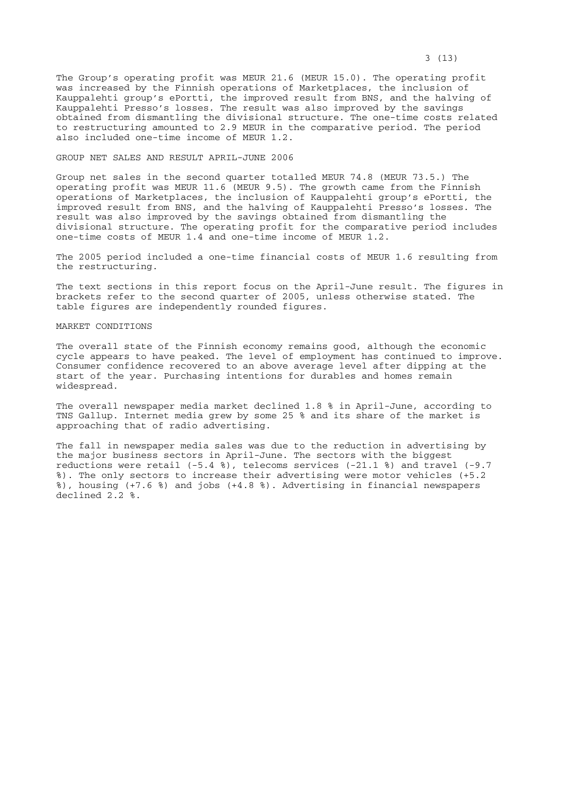The Group's operating profit was MEUR 21.6 (MEUR 15.0). The operating profit was increased by the Finnish operations of Marketplaces, the inclusion of Kauppalehti group's ePortti, the improved result from BNS, and the halving of Kauppalehti Presso's losses. The result was also improved by the savings obtained from dismantling the divisional structure. The one-time costs related to restructuring amounted to 2.9 MEUR in the comparative period. The period also included one-time income of MEUR 1.2.

### GROUP NET SALES AND RESULT APRIL-JUNE 2006

Group net sales in the second quarter totalled MEUR 74.8 (MEUR 73.5.) The operating profit was MEUR 11.6 (MEUR 9.5). The growth came from the Finnish operations of Marketplaces, the inclusion of Kauppalehti group's ePortti, the improved result from BNS, and the halving of Kauppalehti Presso's losses. The result was also improved by the savings obtained from dismantling the divisional structure. The operating profit for the comparative period includes one-time costs of MEUR 1.4 and one-time income of MEUR 1.2.

The 2005 period included a one-time financial costs of MEUR 1.6 resulting from the restructuring.

The text sections in this report focus on the April-June result. The figures in brackets refer to the second quarter of 2005, unless otherwise stated. The table figures are independently rounded figures.

# MARKET CONDITIONS

The overall state of the Finnish economy remains good, although the economic cycle appears to have peaked. The level of employment has continued to improve. Consumer confidence recovered to an above average level after dipping at the start of the year. Purchasing intentions for durables and homes remain widespread.

The overall newspaper media market declined 1.8 % in April-June, according to TNS Gallup. Internet media grew by some 25 % and its share of the market is approaching that of radio advertising.

The fall in newspaper media sales was due to the reduction in advertising by the major business sectors in April-June. The sectors with the biggest reductions were retail (-5.4 %), telecoms services (-21.1 %) and travel (-9.7 %). The only sectors to increase their advertising were motor vehicles (+5.2 %), housing (+7.6 %) and jobs (+4.8 %). Advertising in financial newspapers declined 2.2 %.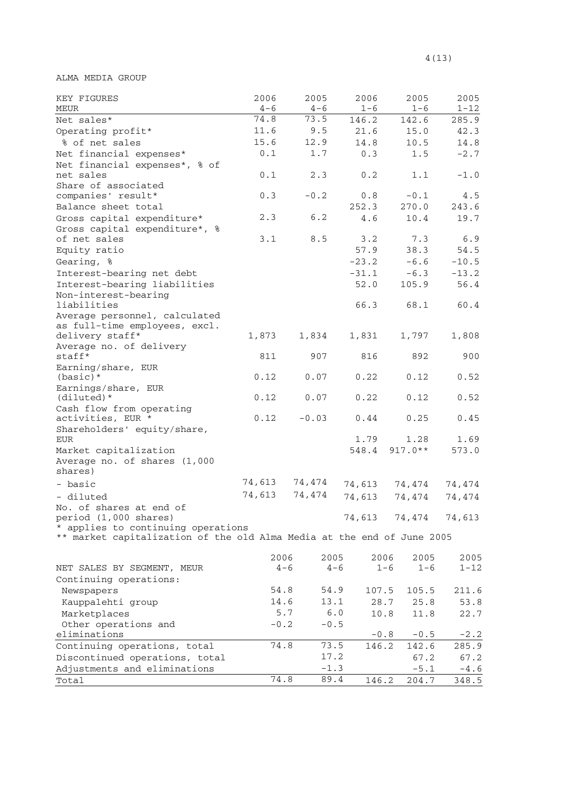ALMA MEDIA GROUP

| KEY FIGURES<br>MEUR                                                    | 2006<br>$4 - 6$ | 2005<br>$4 - 6$ | 2006<br>$1 - 6$ | 2005<br>$1 - 6$    | 2005<br>$1 - 12$ |
|------------------------------------------------------------------------|-----------------|-----------------|-----------------|--------------------|------------------|
| Net sales*                                                             | 74.8            | 73.5            | 146.2           | 142.6              | 285.9            |
| Operating profit*                                                      | 11.6            | 9.5             | 21.6            | 15.0               | 42.3             |
| % of net sales                                                         | 15.6            | 12.9            | 14.8            | 10.5               | 14.8             |
| Net financial expenses*                                                | 0.1             | 1.7             | 0.3             | 1.5                | $-2.7$           |
| Net financial expenses*, % of                                          |                 |                 |                 |                    |                  |
| net sales                                                              | 0.1             | 2.3             | 0.2             | 1.1                | $-1.0$           |
| Share of associated                                                    |                 |                 |                 |                    |                  |
| companies' result*                                                     | 0.3             | $-0.2$          | 0.8             | $-0.1$             | 4.5              |
| Balance sheet total                                                    |                 |                 | 252.3           | 270.0              | 243.6            |
| Gross capital expenditure*                                             | 2.3             | 6.2             | 4.6             | 10.4               | 19.7             |
| Gross capital expenditure*, %                                          |                 |                 |                 |                    |                  |
| of net sales                                                           | 3.1             | 8.5             | 3.2<br>57.9     | 7.3                | 6.9              |
| Equity ratio                                                           |                 |                 |                 | 38.3               | 54.5             |
| Gearing, %                                                             |                 |                 | $-23.2$         | $-6.6$             | $-10.5$          |
| Interest-bearing net debt                                              |                 |                 | $-31.1$         | $-6.3$             | $-13.2$<br>56.4  |
| Interest-bearing liabilities<br>Non-interest-bearing                   |                 |                 | 52.0            | 105.9              |                  |
| liabilities                                                            |                 |                 | 66.3            | 68.1               | 60.4             |
| Average personnel, calculated                                          |                 |                 |                 |                    |                  |
| as full-time employees, excl.                                          |                 |                 |                 |                    |                  |
| delivery staff*                                                        | 1,873           | 1,834           | 1,831           | 1,797              | 1,808            |
| Average no. of delivery                                                |                 |                 |                 |                    |                  |
| staff*                                                                 | 811             | 907             | 816             | 892                | 900              |
| Earning/share, EUR                                                     |                 |                 |                 |                    |                  |
| $(basic)*$                                                             | 0.12            | 0.07            | 0.22            | 0.12               | 0.52             |
| Earnings/share, EUR<br>$(diluted)*$                                    | 0.12            |                 | 0.22            | 0.12               | 0.52             |
| Cash flow from operating                                               |                 | 0.07            |                 |                    |                  |
| activities, EUR *                                                      | 0.12            | $-0.03$         | 0.44            | 0.25               | 0.45             |
| Shareholders' equity/share,                                            |                 |                 |                 |                    |                  |
| <b>EUR</b>                                                             |                 |                 | 1.79            | 1.28               | 1.69             |
| Market capitalization                                                  |                 |                 | 548.4           | $917.0**$          | 573.0            |
| Average no. of shares (1,000                                           |                 |                 |                 |                    |                  |
| shares)                                                                |                 |                 |                 |                    |                  |
| - basic                                                                | 74,613          | 74,474          | 74,613          | 74,474             | 74,474           |
| - diluted                                                              | 74,613          | 74,474          | 74,613          | 74,474             | 74,474           |
| No. of shares at end of                                                |                 |                 |                 |                    |                  |
| period (1,000 shares)                                                  |                 |                 | 74,613          | 74,474             | 74,613           |
| * applies to continuing operations                                     |                 |                 |                 |                    |                  |
| ** market capitalization of the old Alma Media at the end of June 2005 |                 |                 |                 |                    |                  |
|                                                                        | 2006            |                 | 2005            | 2006<br>2005       | 2005             |
| NET SALES BY SEGMENT, MEUR                                             |                 | $4 - 6$         | $4 - 6$         | $1 - 6$<br>$1 - 6$ | $1 - 12$         |
| Continuing operations:                                                 |                 |                 |                 |                    |                  |
| Newspapers                                                             | 54.8            |                 | 54.9<br>107.5   | 105.5              | 211.6            |
| Kauppalehti group                                                      | 14.6            |                 | 13.1            | 28.7<br>25.8       | 53.8             |
| Marketplaces                                                           |                 | 5.7             | 6.0             | 10.8<br>11.8       | 22.7             |
| Other operations and                                                   | $-0.2$          |                 | $-0.5$          |                    |                  |
| eliminations                                                           |                 |                 |                 | $-0.8$<br>$-0.5$   | $-2.2$           |
| Continuing operations, total                                           | 74.8            |                 | 73.5<br>146.2   | 142.6              | 285.9            |
| Discontinued operations, total                                         |                 |                 | 17.2            | 67.2               | 67.2             |
| Adjustments and eliminations                                           |                 |                 | $-1.3$          | $-5.1$             | $-4.6$           |
| Total                                                                  | 74.8            |                 | 89.4<br>146.2   | 204.7              | 348.5            |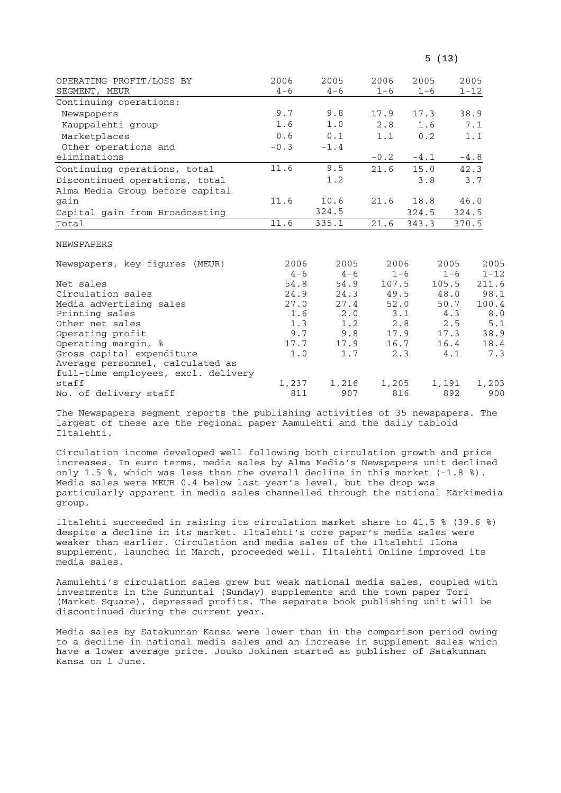| OPERATING PROFIT/LOSS BY                     | 2006            | 2005            | 2006    | 2005    |                 | 2005             |
|----------------------------------------------|-----------------|-----------------|---------|---------|-----------------|------------------|
| SEGMENT, MEUR                                | $4 - 6$         | $4 - 6$         | $1 - 6$ | $1 - 6$ |                 | $1 - 12$         |
| Continuing operations:                       |                 |                 |         |         |                 |                  |
| Newspapers                                   | 9.7             | 9.8             | 17.9    | 17.3    |                 | 38.9             |
| Kauppalehti group                            | 1.6             | 1.0             | 2.8     | 1.6     |                 | 7.1              |
| Marketplaces                                 | 0.6             | 0.1             | 1.1     | 0.2     |                 | 1.1              |
| Other operations and                         | $-0.3$          | $-1.4$          |         |         |                 |                  |
| eliminations                                 |                 |                 | $-0.2$  | $-4.1$  |                 | $-4.8$           |
| Continuing operations, total                 | 11.6            | 9.5             | 21.6    | 15.0    |                 | 42.3             |
| Discontinued operations, total               |                 | 1.2             |         | 3.8     |                 | 3.7              |
| Alma Media Group before capital              |                 |                 |         |         |                 |                  |
| gain                                         | 11.6            | 10.6            | 21.6    | 18.8    |                 | 46.0             |
| Capital gain from Broadcasting               |                 | 324.5           |         | 324.5   |                 | 324.5            |
| Total                                        | 11.6            | 335.1           | 21.6    | 343.3   |                 | 370.5            |
| <b>NEWSPAPERS</b>                            |                 |                 |         |         |                 |                  |
| Newspapers, key figures (MEUR)               | 2006<br>$4 - 6$ | 2005<br>$4 - 6$ | 2006    | $1 - 6$ | 2005<br>$1 - 6$ | 2005<br>$1 - 12$ |
| Net sales                                    | 54.8            | 54.9            | 107.5   |         | 105.5           | 211.6            |
| Circulation sales                            | 24.9            | 24.3            | 49.5    |         | 48.0            | 98.1             |
| Media advertising sales                      | 27.0            | 27.4            | 52.0    |         | 50.7            | 100.4            |
| Printing sales                               | 1.6             | 2.0             |         | 3.1     | 4.3             | 8.0              |
| Other net sales                              | 1.3             | 1.2             |         | 2.8     | 2.5             | 5.1              |
| Operating profit                             | 9.7             | 9.8             | 17.9    |         | 17.3            | 38.9             |
| Operating margin, %                          | 17.7            | 17.9            | 16.7    |         | 16.4            | 18.4             |
| Gross capital expenditure                    | $1.0$           | 1.7             |         | 2.3     | 4.1             | 7.3              |
| Average personnel, calculated as             |                 |                 |         |         |                 |                  |
| full-time employees, excl. delivery<br>staff |                 |                 |         |         | 1,191           |                  |
| No. of delivery staff                        | 1,237<br>811    | 1,216<br>907    | 1,205   | 816     | 892             | 1,203<br>900     |

 $5(13)$ 

The Newspapers segment reports the publishing activities of 35 newspapers. The largest of these are the regional paper Aamulehti and the daily tabloid Iltalehti.

Circulation income developed well following both circulation growth and price increases. In euro terms, media sales by Alma Media's Newspapers unit declined only 1.5 %, which was less than the overall decline in this market  $(-1.8 \text{ s})$ . Media sales were MEUR 0.4 below last year's level, but the drop was particularly apparent in media sales channelled through the national Kärkimedia group.

Iltalehti succeeded in raising its circulation market share to 41.5 % (39.6 %) despite a decline in its market. Iltalehti's core paper's media sales were weaker than earlier. Circulation and media sales of the Iltalehti Ilona supplement, launched in March, proceeded well. Iltalehti Online improved its media sales.

Aamulehti's circulation sales grew but weak national media sales, coupled with investments in the Sunnuntai (Sunday) supplements and the town paper Tori (Market Square), depressed profits. The separate book publishing unit will be discontinued during the current year.

Media sales by Satakunnan Kansa were lower than in the comparison period owing to a decline in national media sales and an increase in supplement sales which have a lower average price. Jouko Jokinen started as publisher of Satakunnan Kansa on 1 June.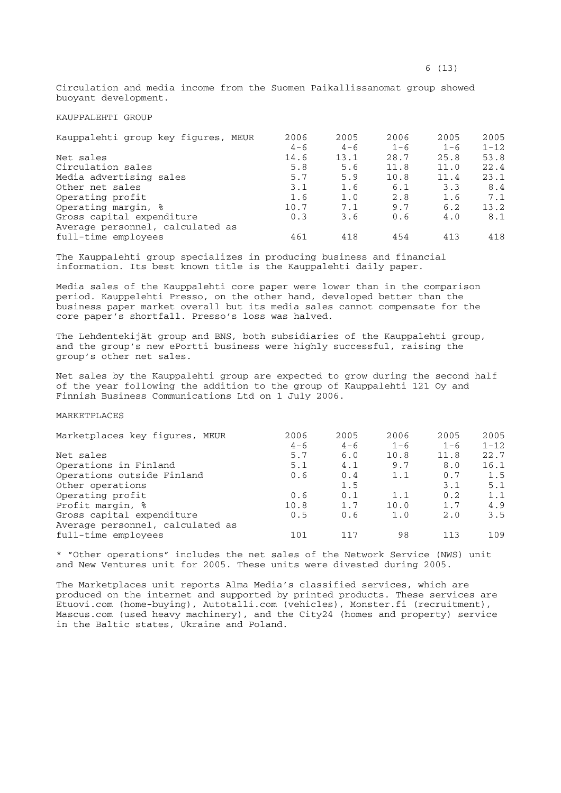KAUPPALEHTI GROUP

| Kauppalehti group key figures, MEUR | 2006    | 2005    | 2006    | 2005    | 2005     |
|-------------------------------------|---------|---------|---------|---------|----------|
|                                     | $4 - 6$ | $4 - 6$ | $1 - 6$ | $1 - 6$ | $1 - 12$ |
| Net sales                           | 14.6    | 13.1    | 28.7    | 25.8    | 53.8     |
| Circulation sales                   | 5.8     | 5.6     | 11.8    | 11.0    | 22.4     |
| Media advertising sales             | 5.7     | 5.9     | 10.8    | 11.4    | 23.1     |
| Other net sales                     | 3.1     | 1.6     | 6.1     | 3.3     | 8.4      |
| Operating profit                    | 1.6     | 1.0     | 2.8     | 1.6     | 7.1      |
| Operating margin, %                 | 10.7    | 7.1     | 9.7     | 6.2     | 13.2     |
| Gross capital expenditure           | 0.3     | 3.6     | 0.6     | 4.0     | 8.1      |
| Average personnel, calculated as    |         |         |         |         |          |
| full-time employees                 | 461     | 418     | 454     | 413     | 418      |

The Kauppalehti group specializes in producing business and financial information. Its best known title is the Kauppalehti daily paper.

Media sales of the Kauppalehti core paper were lower than in the comparison period. Kauppelehti Presso, on the other hand, developed better than the business paper market overall but its media sales cannot compensate for the core paper's shortfall. Presso's loss was halved.

The Lehdentekijät group and BNS, both subsidiaries of the Kauppalehti group, and the group's new ePortti business were highly successful, raising the group's other net sales.

Net sales by the Kauppalehti group are expected to grow during the second half of the year following the addition to the group of Kauppalehti 121 Oy and Finnish Business Communications Ltd on 1 July 2006.

## MARKETPLACES

| Marketplaces key figures, MEUR   | 2006    | 2005    | 2006    | 2005    | 2005     |
|----------------------------------|---------|---------|---------|---------|----------|
|                                  | $4 - 6$ | $4 - 6$ | $1 - 6$ | $1 - 6$ | $1 - 12$ |
| Net sales                        | 5.7     | 6.0     | 10.8    | 11.8    | 22.7     |
| Operations in Finland            | 5.1     | 4.1     | 9.7     | 8.0     | 16.1     |
| Operations outside Finland       | 0.6     | 0.4     | 1.1     | 0.7     | 1.5      |
| Other operations                 |         | 1.5     |         | 3.1     | 5.1      |
| Operating profit                 | 0.6     | 0.1     | 1.1     | 0.2     | 1.1      |
| Profit margin, %                 | 10.8    | 1.7     | 10.0    | 1.7     | 4.9      |
| Gross capital expenditure        | 0.5     | 0.6     | 1.0     | 2.0     | 3.5      |
| Average personnel, calculated as |         |         |         |         |          |
| full-time employees              | 101     | 117     | 98      | 113     | 109      |

\* "Other operations" includes the net sales of the Network Service (NWS) unit and New Ventures unit for 2005. These units were divested during 2005.

The Marketplaces unit reports Alma Media's classified services, which are produced on the internet and supported by printed products. These services are Etuovi.com (home-buying), Autotalli.com (vehicles), Monster.fi (recruitment), Mascus.com (used heavy machinery), and the City24 (homes and property) service in the Baltic states, Ukraine and Poland.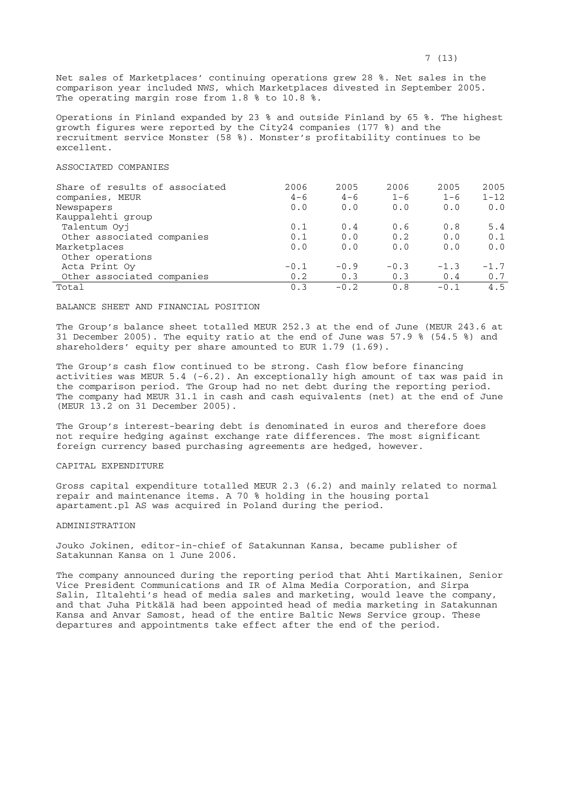Net sales of Marketplaces' continuing operations grew 28 %. Net sales in the comparison year included NWS, which Marketplaces divested in September 2005. The operating margin rose from 1.8 % to 10.8 %.

Operations in Finland expanded by 23 % and outside Finland by 65 %. The highest growth figures were reported by the City24 companies (177 %) and the recruitment service Monster (58 %). Monster's profitability continues to be excellent.

### ASSOCIATED COMPANIES

| Share of results of associated | 2006    | 2005    | 2006    | 2005    | 2005     |
|--------------------------------|---------|---------|---------|---------|----------|
| companies, MEUR                | $4 - 6$ | $4 - 6$ | $1 - 6$ | $1 - 6$ | $1 - 12$ |
| Newspapers                     | 0.0     | 0.0     | 0.0     | 0.0     | 0.0      |
| Kauppalehti group              |         |         |         |         |          |
| Talentum Ovi                   | 0.1     | 0.4     | 0.6     | 0.8     | 5.4      |
| Other associated companies     | 0.1     | 0.0     | 0.2     | 0.0     | 0.1      |
| Marketplaces                   | 0.0     | 0.0     | 0.0     | 0.0     | 0.0      |
| Other operations               |         |         |         |         |          |
| Acta Print Oy                  | $-0.1$  | $-0.9$  | $-0.3$  | $-1.3$  | $-1.7$   |
| Other associated companies     | 0.2     | 0.3     | 0.3     | 0.4     | 0.7      |
| Total                          | 0.3     | $-0.2$  | 0.8     | $-0.1$  | 4.5      |

#### BALANCE SHEET AND FINANCIAL POSITION

The Group's balance sheet totalled MEUR 252.3 at the end of June (MEUR 243.6 at 31 December 2005). The equity ratio at the end of June was 57.9 % (54.5 %) and shareholders' equity per share amounted to EUR 1.79 (1.69).

The Group's cash flow continued to be strong. Cash flow before financing activities was MEUR 5.4 (-6.2). An exceptionally high amount of tax was paid in the comparison period. The Group had no net debt during the reporting period. The company had MEUR 31.1 in cash and cash equivalents (net) at the end of June (MEUR 13.2 on 31 December 2005).

The Group's interest-bearing debt is denominated in euros and therefore does not require hedging against exchange rate differences. The most significant foreign currency based purchasing agreements are hedged, however.

## CAPITAL EXPENDITURE

Gross capital expenditure totalled MEUR 2.3 (6.2) and mainly related to normal repair and maintenance items. A 70 % holding in the housing portal apartament.pl AS was acquired in Poland during the period.

### ADMINISTRATION

Jouko Jokinen, editor-in-chief of Satakunnan Kansa, became publisher of Satakunnan Kansa on 1 June 2006.

The company announced during the reporting period that Ahti Martikainen, Senior Vice President Communications and IR of Alma Media Corporation, and Sirpa Salin, Iltalehti's head of media sales and marketing, would leave the company, and that Juha Pitkälä had been appointed head of media marketing in Satakunnan Kansa and Anvar Samost, head of the entire Baltic News Service group. These departures and appointments take effect after the end of the period.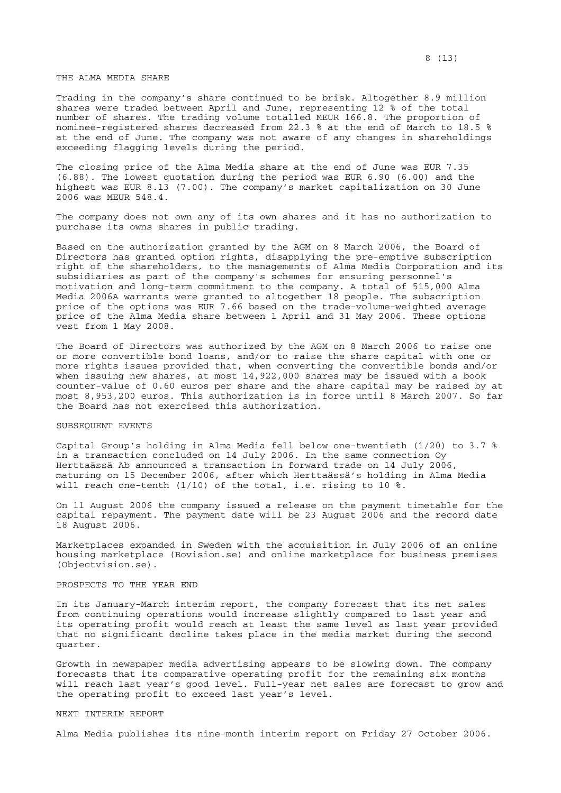Trading in the company's share continued to be brisk. Altogether 8.9 million shares were traded between April and June, representing 12 % of the total number of shares. The trading volume totalled MEUR 166.8. The proportion of nominee-registered shares decreased from 22.3 % at the end of March to 18.5 % at the end of June. The company was not aware of any changes in shareholdings exceeding flagging levels during the period.

The closing price of the Alma Media share at the end of June was EUR 7.35 (6.88). The lowest quotation during the period was EUR 6.90 (6.00) and the highest was EUR 8.13 (7.00). The company's market capitalization on 30 June 2006 was MEUR 548.4.

The company does not own any of its own shares and it has no authorization to purchase its owns shares in public trading.

Based on the authorization granted by the AGM on 8 March 2006, the Board of Directors has granted option rights, disapplying the pre-emptive subscription right of the shareholders, to the managements of Alma Media Corporation and its subsidiaries as part of the company's schemes for ensuring personnel's motivation and long-term commitment to the company. A total of 515,000 Alma Media 2006A warrants were granted to altogether 18 people. The subscription price of the options was EUR 7.66 based on the trade-volume-weighted average price of the Alma Media share between 1 April and 31 May 2006. These options vest from 1 May 2008.

The Board of Directors was authorized by the AGM on 8 March 2006 to raise one or more convertible bond loans, and/or to raise the share capital with one or more rights issues provided that, when converting the convertible bonds and/or when issuing new shares, at most 14,922,000 shares may be issued with a book counter-value of 0.60 euros per share and the share capital may be raised by at most 8,953,200 euros. This authorization is in force until 8 March 2007. So far the Board has not exercised this authorization.

### SUBSEQUENT EVENTS

Capital Group's holding in Alma Media fell below one-twentieth (1/20) to 3.7 % in a transaction concluded on 14 July 2006. In the same connection Oy Herttaässä Ab announced a transaction in forward trade on 14 July 2006, maturing on 15 December 2006, after which Herttaässä's holding in Alma Media will reach one-tenth (1/10) of the total, i.e. rising to 10 %.

On 11 August 2006 the company issued a release on the payment timetable for the capital repayment. The payment date will be 23 August 2006 and the record date 18 August 2006.

Marketplaces expanded in Sweden with the acquisition in July 2006 of an online housing marketplace (Bovision.se) and online marketplace for business premises (Objectvision.se).

### PROSPECTS TO THE YEAR END

In its January-March interim report, the company forecast that its net sales from continuing operations would increase slightly compared to last year and its operating profit would reach at least the same level as last year provided that no significant decline takes place in the media market during the second quarter.

Growth in newspaper media advertising appears to be slowing down. The company forecasts that its comparative operating profit for the remaining six months will reach last year's good level. Full-year net sales are forecast to grow and the operating profit to exceed last year's level.

### NEXT INTERIM REPORT

Alma Media publishes its nine-month interim report on Friday 27 October 2006.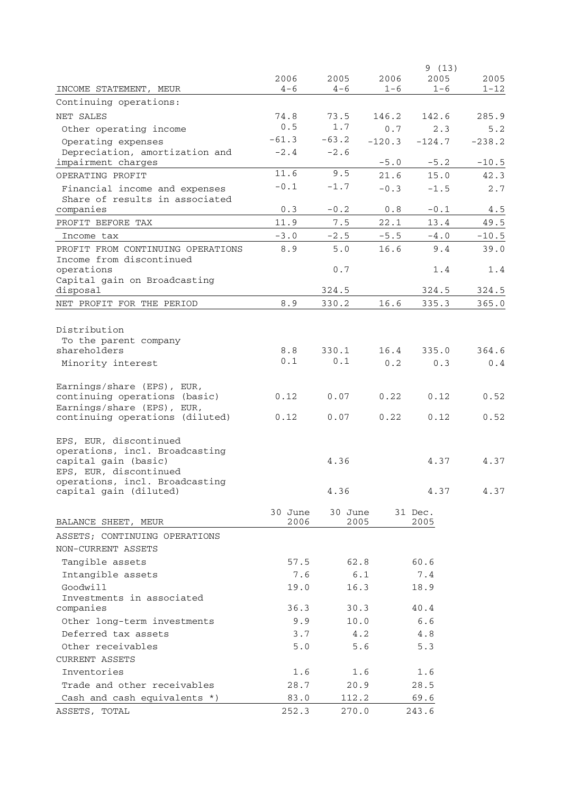|                                                          |             |             |          | 9(13)    |          |
|----------------------------------------------------------|-------------|-------------|----------|----------|----------|
|                                                          | 2006        | 2005        | 2006     | 2005     | 2005     |
| INCOME STATEMENT, MEUR                                   | $4 - 6$     | $4 - 6$     | $1 - 6$  | $1 - 6$  | $1 - 12$ |
| Continuing operations:                                   |             |             |          |          |          |
| NET SALES                                                | 74.8<br>0.5 | 73.5<br>1.7 | 146.2    | 142.6    | 285.9    |
| Other operating income                                   | $-61.3$     | $-63.2$     | 0.7      | 2.3      | 5.2      |
| Operating expenses<br>Depreciation, amortization and     | $-2.4$      | $-2.6$      | $-120.3$ | $-124.7$ | $-238.2$ |
| impairment charges                                       |             |             | $-5.0$   | $-5.2$   | $-10.5$  |
| OPERATING PROFIT                                         | 11.6        | 9.5         | 21.6     | 15.0     | 42.3     |
| Financial income and expenses                            | $-0.1$      | $-1.7$      | $-0.3$   | $-1.5$   | 2.7      |
| Share of results in associated                           |             |             |          |          |          |
| companies                                                | 0.3         | $-0.2$      | $0.8$    | $-0.1$   | 4.5      |
| PROFIT BEFORE TAX                                        | 11.9        | 7.5         | 22.1     | 13.4     | 49.5     |
| Income tax                                               | $-3.0$      | $-2.5$      | $-5.5$   | $-4.0$   | $-10.5$  |
| PROFIT FROM CONTINUING OPERATIONS                        | 8.9         | 5.0         | 16.6     | 9.4      | 39.0     |
| Income from discontinued                                 |             |             |          |          |          |
| operations<br>Capital gain on Broadcasting               |             | $0.7$       |          | 1.4      | 1.4      |
| disposal                                                 |             | 324.5       |          | 324.5    | 324.5    |
| NET PROFIT FOR THE PERIOD                                | 8.9         | 330.2       | 16.6     | 335.3    | 365.0    |
|                                                          |             |             |          |          |          |
| Distribution                                             |             |             |          |          |          |
| To the parent company                                    |             |             |          |          |          |
| shareholders                                             | 8.8         | 330.1       | 16.4     | 335.0    | 364.6    |
| Minority interest                                        | 0.1         | 0.1         | 0.2      | 0.3      | 0.4      |
| Earnings/share (EPS), EUR,                               |             |             |          |          |          |
| continuing operations (basic)                            | 0.12        | 0.07        | 0.22     | 0.12     | 0.52     |
| Earnings/share (EPS), EUR,                               |             |             |          |          |          |
| continuing operations (diluted)                          | 0.12        | 0.07        | 0.22     | 0.12     | 0.52     |
|                                                          |             |             |          |          |          |
| EPS, EUR, discontinued<br>operations, incl. Broadcasting |             |             |          |          |          |
| capital gain (basic)                                     |             | 4.36        |          | 4.37     | 4.37     |
| EPS, EUR, discontinued                                   |             |             |          |          |          |
| operations, incl. Broadcasting                           |             |             |          |          |          |
| capital gain (diluted)                                   |             | 4.36        |          | 4.37     | 4.37     |
|                                                          | 30 June     | 30 June     |          | 31 Dec.  |          |
| BALANCE SHEET, MEUR                                      | 2006        | 2005        |          | 2005     |          |
| ASSETS; CONTINUING OPERATIONS                            |             |             |          |          |          |
| NON-CURRENT ASSETS                                       |             |             |          |          |          |
| Tangible assets                                          | 57.5        | 62.8        |          | 60.6     |          |
| Intangible assets                                        | 7.6         | 6.1         |          | 7.4      |          |
| Goodwill                                                 | 19.0        | 16.3        |          | 18.9     |          |
| Investments in associated                                |             |             |          |          |          |
| companies                                                | 36.3        | 30.3        |          | 40.4     |          |
| Other long-term investments                              | 9.9         | 10.0        |          | 6.6      |          |
| Deferred tax assets                                      | 3.7         | 4.2         |          | 4.8      |          |
| Other receivables                                        | 5.0         | 5.6         |          | 5.3      |          |
| <b>CURRENT ASSETS</b>                                    |             |             |          |          |          |
| Inventories                                              | 1.6         | 1.6         |          | 1.6      |          |
| Trade and other receivables                              | 28.7        | 20.9        |          | 28.5     |          |
| Cash and cash equivalents *)                             | 83.0        | 112.2       |          | 69.6     |          |
| ASSETS, TOTAL                                            | 252.3       | 270.0       |          | 243.6    |          |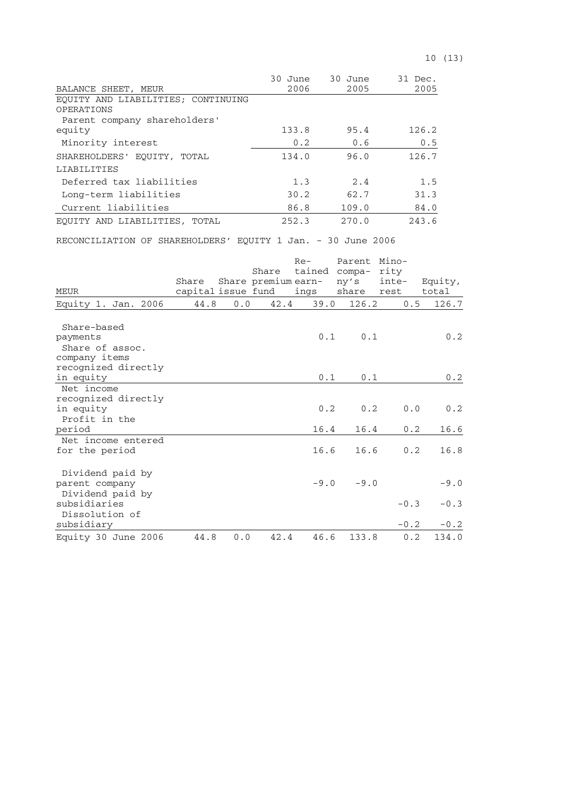| 10(13) |  |  |  |  |
|--------|--|--|--|--|
|--------|--|--|--|--|

|                                    | 30 June | 30 June | 31 Dec. |
|------------------------------------|---------|---------|---------|
| BALANCE SHEET, MEUR                | 2006    | 2005    | 2005    |
| EQUITY AND LIABILITIES; CONTINUING |         |         |         |
| OPERATIONS                         |         |         |         |
| Parent company shareholders'       |         |         |         |
| equity                             | 133.8   | 95.4    | 126.2   |
| Minority interest                  | 0.2     | 0.6     | 0.5     |
| SHAREHOLDERS' EOUITY, TOTAL        | 134.0   | 96.0    | 126.7   |
| LIABILITIES                        |         |         |         |
| Deferred tax liabilities           | 1.3     | 2.4     | 1.5     |
| Long-term liabilities              | 30.2    | 62.7    | 31.3    |
| Current liabilities                | 86.8    | 109.0   | 84.0    |
| EQUITY AND LIABILITIES, TOTAL      | 252.3   | 270.0   | 243.6   |

RECONCILIATION OF SHAREHOLDERS' EQUITY 1 Jan. - 30 June 2006

| MEUR                                                                                                   | Share<br>capital issue fund |     | Share | $Re-$<br>Share premium earn-<br>ings | Parent<br>tained compa-<br>ny's<br>share | Mino-<br>rity<br>inte-<br>rest | Equity,<br>total           |
|--------------------------------------------------------------------------------------------------------|-----------------------------|-----|-------|--------------------------------------|------------------------------------------|--------------------------------|----------------------------|
| Equity 1. Jan. 2006                                                                                    | 44.8                        | 0.0 | 42.4  | 39.0                                 | 126.2                                    | 0.5                            | 126.7                      |
| Share-based<br>payments<br>Share of assoc.<br>company items<br>recognized directly                     |                             |     |       | 0.1                                  | 0.1                                      |                                | 0.2                        |
| in equity                                                                                              |                             |     |       | 0.1                                  | 0.1                                      |                                | 0.2                        |
| Net income<br>recognized directly<br>in equity<br>Profit in the<br>period                              |                             |     |       | 0.2<br>16.4                          | 0.2<br>16.4                              | 0.0<br>0.2                     | 0.2<br>16.6                |
| Net income entered<br>for the period                                                                   |                             |     |       | 16.6                                 | 16.6                                     | 0.2                            | 16.8                       |
| Dividend paid by<br>parent company<br>Dividend paid by<br>subsidiaries<br>Dissolution of<br>subsidiary |                             |     |       | $-9.0$                               | $-9.0$                                   | $-0.3$<br>$-0.2$               | $-9.0$<br>$-0.3$<br>$-0.2$ |
| Equity 30 June 2006                                                                                    | 44.8                        | 0.0 | 42.4  | 46.6                                 | 133.8                                    | 0.2                            | 134.0                      |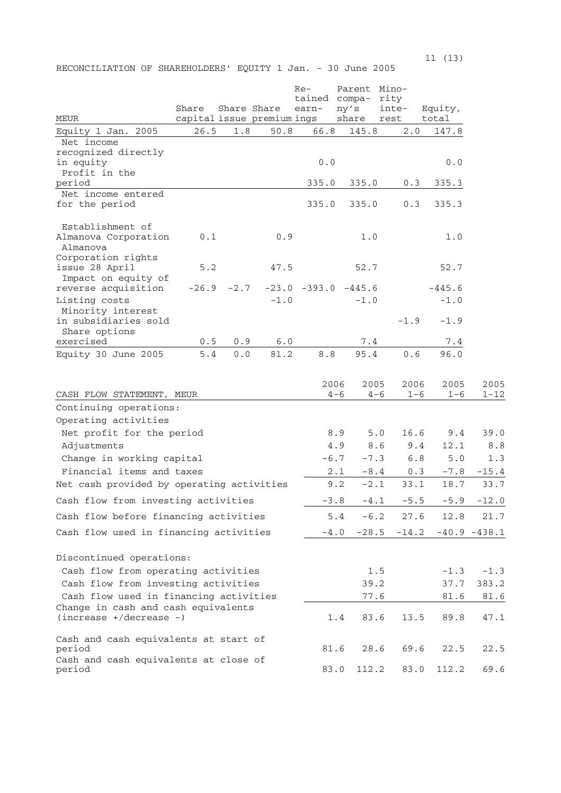$11 \t(13)$ 

RECONCILIATION OF SHAREHOLDERS' EQUITY 1 Jan. - 30 June 2005

| MEUR                                                                                     | Share        |            | Share Share<br>capital issue premium ings | $Re-$<br>tained compa-<br>earn- |         | Parent Mino-<br>ny's<br>share | rity<br>inte-<br>rest |         | Equity,<br>total   |                 |
|------------------------------------------------------------------------------------------|--------------|------------|-------------------------------------------|---------------------------------|---------|-------------------------------|-----------------------|---------|--------------------|-----------------|
| Equity 1 Jan. 2005                                                                       | 26.5         | 1.8        | 50.8                                      | 66.8                            |         | 145.8                         |                       | 2.0     | 147.8              |                 |
| Net income<br>recognized directly<br>in equity                                           |              |            |                                           | 0.0                             |         |                               |                       |         | 0.0                |                 |
| Profit in the<br>period                                                                  |              |            |                                           | 335.0                           |         | 335.0                         |                       | 0.3     | 335.3              |                 |
| Net income entered<br>for the period                                                     |              |            |                                           | 335.0                           |         | 335.0                         |                       | 0.3     | 335.3              |                 |
| Establishment of<br>Almanova Corporation<br>Almanova                                     | 0.1          |            | 0.9                                       |                                 |         | 1.0                           |                       |         | 1.0                |                 |
| Corporation rights<br>issue 28 April<br>Impact on equity of                              | $5.2$        |            | 47.5                                      |                                 |         | 52.7                          |                       |         | 52.7               |                 |
| reverse acquisition<br>Listing costs<br>Minority interest                                | $-26.9$      | $-2.7$     | $-1.0$                                    | $-23.0 -393.0$                  |         | $-445.6$<br>$-1.0$            |                       |         | $-445.6$<br>$-1.0$ |                 |
| in subsidiaries sold<br>Share options                                                    |              |            |                                           |                                 |         |                               | $-1.9$                |         | $-1.9$             |                 |
| exercised<br>Equity 30 June 2005                                                         | $0.5$<br>5.4 | 0.9<br>0.0 | 6.0<br>81.2                               | 8.8                             |         | $7.4$<br>95.4                 |                       | 0.6     | 7.4<br>96.0        |                 |
|                                                                                          |              |            |                                           |                                 | 2006    | 2005                          |                       | 2006    | 2005               | 2005            |
| CASH FLOW STATEMENT, MEUR                                                                |              |            |                                           |                                 | $4 - 6$ | $4 - 6$                       |                       | $1 - 6$ | $1 - 6$            | $1 - 12$        |
| Continuing operations:<br>Operating activities                                           |              |            |                                           |                                 |         |                               |                       |         |                    |                 |
| Net profit for the period                                                                |              |            |                                           |                                 | 8.9     | 5.0                           |                       | 16.6    | 9.4                | 39.0            |
| Adjustments                                                                              |              |            |                                           |                                 | 4.9     | 8.6                           |                       | 9.4     | 12.1               | 8.8             |
| Change in working capital                                                                |              |            |                                           |                                 | $-6.7$  | $-7.3$                        |                       | 6.8     | 5.0                | 1.3             |
| Financial items and taxes                                                                |              |            |                                           |                                 | 2.1     | $-8.4$                        |                       | 0.3     | $-7.8$             | $-15.4$         |
| Net cash provided by operating activities                                                |              |            |                                           |                                 | 9.2     | $-2.1$                        |                       | 33.1    | 18.7               | 33.7            |
| Cash flow from investing activities                                                      |              |            |                                           |                                 | $-3.8$  | $-4.1$                        |                       | $-5.5$  | $-5.9$             | $-12.0$         |
|                                                                                          |              |            |                                           |                                 |         |                               |                       |         |                    |                 |
| Cash flow before financing activities                                                    |              |            |                                           |                                 | 5.4     | $-6.2$                        |                       | 27.6    | 12.8               | 21.7            |
| Cash flow used in financing activities                                                   |              |            |                                           |                                 | $-4.0$  | $-28.5$                       | $-14.2$               |         |                    | $-40.9 - 438.1$ |
| Discontinued operations:<br>Cash flow from operating activities                          |              |            |                                           |                                 |         | 1.5                           |                       |         | $-1.3$             | $-1.3$          |
| Cash flow from investing activities                                                      |              |            |                                           |                                 |         | 39.2                          |                       |         | 37.7               | 383.2           |
| Cash flow used in financing activities                                                   |              |            |                                           |                                 |         | 77.6                          |                       |         | 81.6               | 81.6            |
| Change in cash and cash equivalents<br>$(increase +/decrease -)$                         |              |            |                                           |                                 | 1.4     | 83.6                          |                       | 13.5    | 89.8               | 47.1            |
| Cash and cash equivalents at start of<br>period<br>Cash and cash equivalents at close of |              |            |                                           |                                 | 81.6    | 28.6                          |                       | 69.6    | 22.5               | 22.5            |
| period                                                                                   |              |            |                                           |                                 | 83.0    | 112.2                         |                       | 83.0    | 112.2              | 69.6            |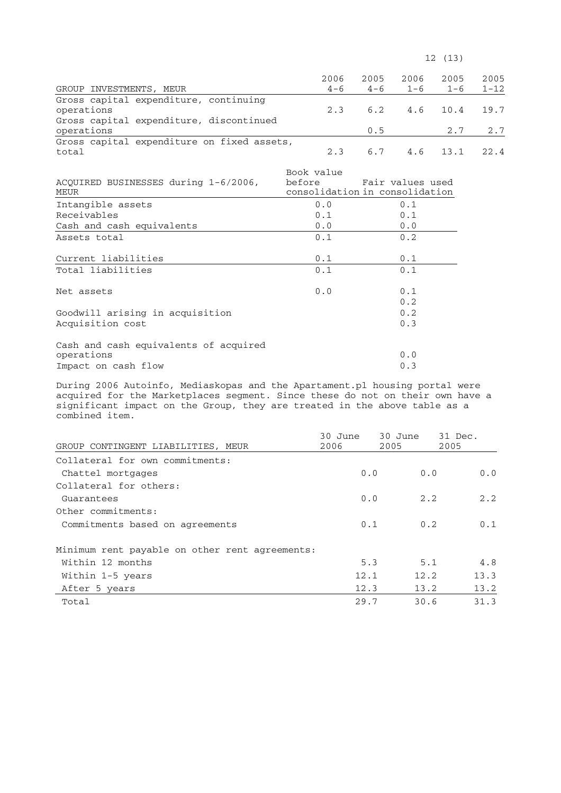$12 \t(13)$ 

| GROUP INVESTMENTS, MEUR                               | 2006<br>$4 - 6$ | 2005 | 2006<br>$4-6$ $1-6$ | 2005<br>$1 - 6$   | 2005<br>$1 - 12$ |
|-------------------------------------------------------|-----------------|------|---------------------|-------------------|------------------|
| Gross capital expenditure, continuing<br>operations   | 2.3             |      |                     | 6.2 4.6 10.4 19.7 |                  |
| Gross capital expenditure, discontinued<br>operations |                 | 0.5  |                     |                   | $2.7$ $2.7$      |
| Gross capital expenditure on fixed assets,<br>total   | 2.3             |      |                     | 6.7 4.6 13.1 22.4 |                  |

| ACQUIRED BUSINESSES during 1-6/2006,<br>MEUR | Book value | before Fair values used<br>consolidation in consolidation |
|----------------------------------------------|------------|-----------------------------------------------------------|
| Intangible assets                            | 0.0        | 0.1                                                       |
| Receivables                                  | 0.1        | 0.1                                                       |
| Cash and cash equivalents                    | 0.0        | 0.0                                                       |
| Assets total                                 | 0.1        | 0.2                                                       |
| Current liabilities                          | 0.1        | 0.1                                                       |
| Total liabilities                            | 0.1        | 0.1                                                       |
| Net assets                                   | 0.0        | 0.1<br>0.2                                                |
| Goodwill arising in acquisition              |            | 0.2                                                       |
| Acquisition cost                             |            | 0.3                                                       |
| Cash and cash equivalents of acquired        |            |                                                           |
| operations                                   |            | 0.0                                                       |
| Impact on cash flow                          |            | 0.3                                                       |

During 2006 Autoinfo, Mediaskopas and the Apartament.pl housing portal were acquired for the Marketplaces segment. Since these do not on their own have a significant impact on the Group, they are treated in the above table as a combined item.

|                                                | 30 June | 30 June | 31 Dec. |
|------------------------------------------------|---------|---------|---------|
| GROUP CONTINGENT LIABILITIES, MEUR             | 2006    | 2005    | 2005    |
| Collateral for own commitments:                |         |         |         |
| Chattel mortgages                              | 0.0     | 0.0     | 0.0     |
| Collateral for others:                         |         |         |         |
| Guarantees                                     | 0.0     | 2.2     | 2.2     |
| Other commitments:                             |         |         |         |
| Commitments based on agreements                | 0.1     | 0.2     | 0.1     |
| Minimum rent payable on other rent agreements: |         |         |         |
| Within 12 months                               | 5.3     | 5.1     | 4.8     |
| Within 1-5 years                               | 12.1    | 12.2    | 13.3    |
| After 5 years                                  | 12.3    | 13.2    | 13.2    |
| Total                                          | 29.7    | 30.6    | 31.3    |